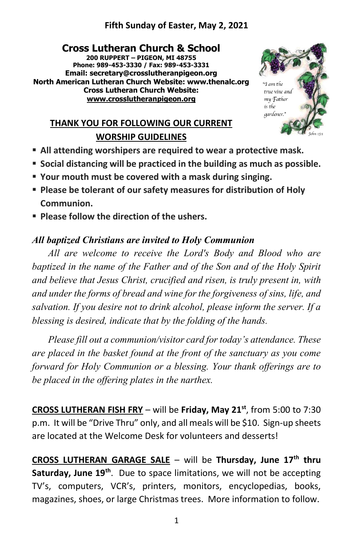## **Fifth Sunday of Easter, May 2, 2021**

**Cross Lutheran Church & School 200 RUPPERT – PIGEON, MI 48755 Phone: 989-453-3330 / Fax: 989-453-3331 Email: secretary@crosslutheranpigeon.org North American Lutheran Church Website: www.thenalc.org Cross Lutheran Church Website: [www.crosslutheranpigeon.org](http://www.crosslutheranpigeon.org/)**



# **THANK YOU FOR FOLLOWING OUR CURRENT WORSHIP GUIDELINES**

- All attending worshipers are required to wear a protective mask.
- **Social distancing will be practiced in the building as much as possible.**
- **Your mouth must be covered with a mask during singing.**
- **Please be tolerant of our safety measures for distribution of Holy Communion.**
- **Please follow the direction of the ushers.**

## *All baptized Christians are invited to Holy Communion*

*All are welcome to receive the Lord's Body and Blood who are baptized in the name of the Father and of the Son and of the Holy Spirit and believe that Jesus Christ, crucified and risen, is truly present in, with and under the forms of bread and wine for the forgiveness of sins, life, and salvation. If you desire not to drink alcohol, please inform the server. If a blessing is desired, indicate that by the folding of the hands.*

*Please fill out a communion/visitor card for today's attendance. These are placed in the basket found at the front of the sanctuary as you come forward for Holy Communion or a blessing. Your thank offerings are to be placed in the offering plates in the narthex.*

**CROSS LUTHERAN FISH FRY** – will be **Friday, May 21st**, from 5:00 to 7:30 p.m. It will be "Drive Thru" only, and all meals will be \$10. Sign-up sheets are located at the Welcome Desk for volunteers and desserts!

**CROSS LUTHERAN GARAGE SALE** – will be **Thursday, June 17th thru Saturday, June 19th**. Due to space limitations, we will not be accepting TV's, computers, VCR's, printers, monitors, encyclopedias, books, magazines, shoes, or large Christmas trees. More information to follow.